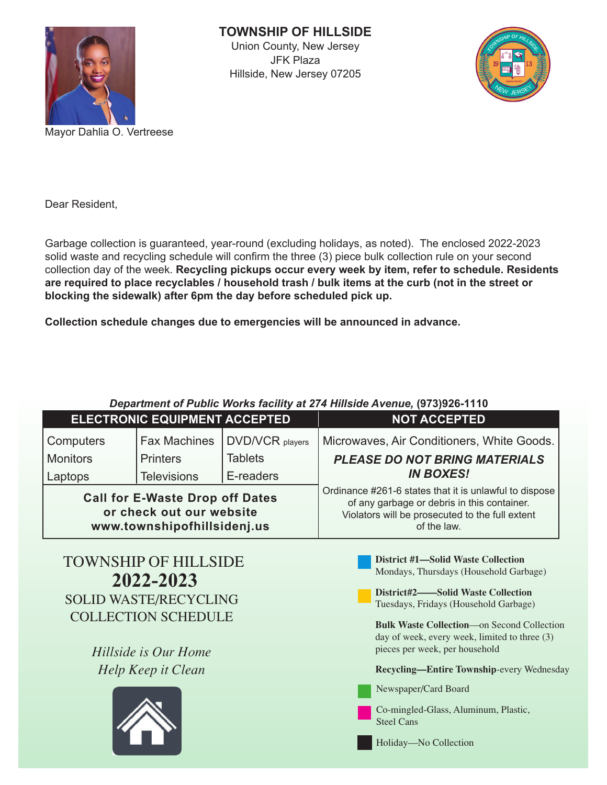

**TOWNSHIP OF HILLSIDE**

Union County, New Jersey JFK Plaza Hillside, New Jersey 07205



Dear Resident,

Garbage collection is guaranteed, year-round (excluding holidays, as noted). The enclosed 2022-2023 solid waste and recycling schedule will confirm the three (3) piece bulk collection rule on your second collection day of the week. **Recycling pickups occur every week by item, refer to schedule. Residents are required to place recyclables / household trash / bulk items at the curb (not in the street or blocking the sidewalk) after 6pm the day before scheduled pick up.**

**Collection schedule changes due to emergencies will be announced in advance.**

| Department of Public Works facility at 274 Hillside Avenue, (973)926-1110 |  |  |
|---------------------------------------------------------------------------|--|--|
|                                                                           |  |  |

|                 | <b>ELECTRONIC EQUIPMENT ACCEPTED</b>                                                              |                        | <b>NOT ACCEPTED</b>                                                                                                                                                     |
|-----------------|---------------------------------------------------------------------------------------------------|------------------------|-------------------------------------------------------------------------------------------------------------------------------------------------------------------------|
| Computers       | <b>Fax Machines</b>                                                                               | <b>DVD/VCR</b> players | Microwaves, Air Conditioners, White Goods.                                                                                                                              |
| <b>Monitors</b> | <b>Printers</b>                                                                                   | <b>Tablets</b>         | <b>PLEASE DO NOT BRING MATERIALS</b>                                                                                                                                    |
| Laptops         | <b>Televisions</b>                                                                                | E-readers              | <b>IN BOXES!</b>                                                                                                                                                        |
|                 | <b>Call for E-Waste Drop off Dates</b><br>or check out our website<br>www.townshipofhillsidenj.us |                        | Ordinance #261-6 states that it is unlawful to dispose<br>of any garbage or debris in this container.<br>Violators will be prosecuted to the full extent<br>of the law. |
|                 | <b>TOWNSHIP OF HILLSIDE</b><br>2022-2023                                                          |                        | <b>District #1—Solid Waste Collection</b><br>Mondays, Thursdays (Household Garbage)                                                                                     |
|                 | SOLID WASTE/RECYCLING                                                                             |                        | District#2——Solid Waste Collection<br>Tuesdays, Fridays (Household Garbage)                                                                                             |
|                 | <b>COLLECTION SCHEDULE</b>                                                                        |                        | <b>Bulk Waste Collection—on Second Collection</b><br>day of week, every week, limited to three (3)                                                                      |
|                 | Hillside is Our Home                                                                              |                        | pieces per week, per household                                                                                                                                          |
|                 | Help Keep it Clean                                                                                |                        | Recycling-Entire Township-every Wednesday                                                                                                                               |
|                 |                                                                                                   |                        | Newspaper/Card Board<br>Co-mingled-Glass, Aluminum, Plastic,<br><b>Steel Cans</b><br>Holiday-No Collection                                                              |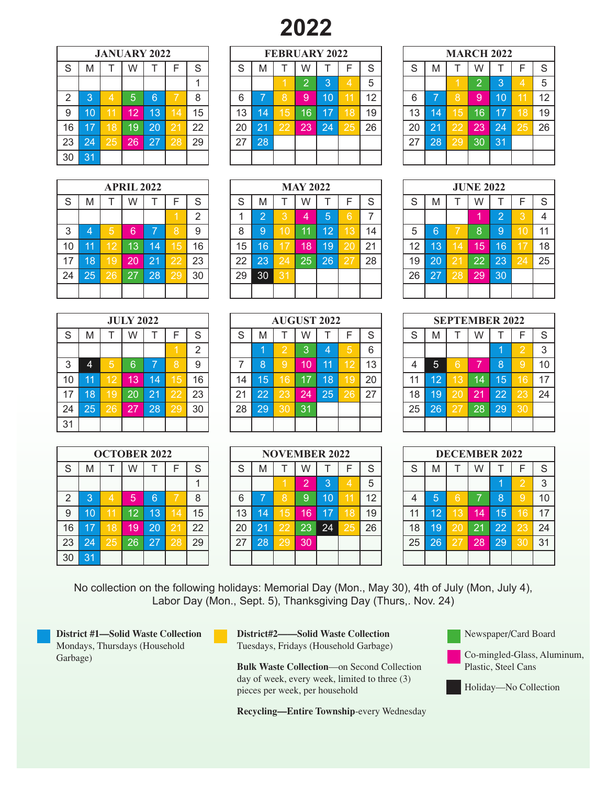# **2022**

|                | <b>JANUARY 2022</b> |    |    |    |                 |    |  |  |  |  |  |  |  |  |  |
|----------------|---------------------|----|----|----|-----------------|----|--|--|--|--|--|--|--|--|--|
| S              | M                   |    | W  |    | F               | S  |  |  |  |  |  |  |  |  |  |
|                |                     |    |    |    |                 |    |  |  |  |  |  |  |  |  |  |
| $\overline{2}$ | 3                   | 4  | 5  | 6  |                 | 8  |  |  |  |  |  |  |  |  |  |
| 9              | 10                  | 11 | 12 | 13 | $1\overline{4}$ | 15 |  |  |  |  |  |  |  |  |  |
| 16             | 17                  | 18 | 19 | 20 | 21              | 22 |  |  |  |  |  |  |  |  |  |
| 23             | 24                  | 25 | 26 | 27 | 28              | 29 |  |  |  |  |  |  |  |  |  |
| 30             | 3 <sub>1</sub>      |    |    |    |                 |    |  |  |  |  |  |  |  |  |  |

| <b>APRIL 2022</b> |    |    |    |    |    |    |  |  |  |  |  |  |  |
|-------------------|----|----|----|----|----|----|--|--|--|--|--|--|--|
| S                 | M  |    | W  |    | F  | S  |  |  |  |  |  |  |  |
|                   |    |    |    |    |    |    |  |  |  |  |  |  |  |
| 3                 | 4  | 5  | 6  | 7  | 8  | 9  |  |  |  |  |  |  |  |
| 10                | 11 | 12 | 13 | 14 | 15 | 16 |  |  |  |  |  |  |  |
| 17                | 18 | 19 | 20 | 21 | 22 | 23 |  |  |  |  |  |  |  |
| 24                | 25 | 26 | 27 | 28 | 29 | 30 |  |  |  |  |  |  |  |
|                   |    |    |    |    |    |    |  |  |  |  |  |  |  |

| <b>JULY 2022</b> |                       |                            |    |    |    |    |  |  |  |  |  |  |  |
|------------------|-----------------------|----------------------------|----|----|----|----|--|--|--|--|--|--|--|
| $\mathbf S$      | M                     | Τ                          | W  | T  | F  | S  |  |  |  |  |  |  |  |
|                  | $\overline{2}$        |                            |    |    |    |    |  |  |  |  |  |  |  |
| 3                | 5<br>9<br>6<br>8<br>4 |                            |    |    |    |    |  |  |  |  |  |  |  |
| 10               | 11                    | 16<br>12<br>13<br>15<br>14 |    |    |    |    |  |  |  |  |  |  |  |
| 17               | 18                    | 19                         | 20 | 21 | 22 | 23 |  |  |  |  |  |  |  |
| 24               | 25                    | 26                         | 27 | 28 | 29 | 30 |  |  |  |  |  |  |  |
| 31               |                       |                            |    |    |    |    |  |  |  |  |  |  |  |

|                | <b>OCTOBER 2022</b> |    |    |    |    |    |  |  |  |  |  |  |  |  |  |
|----------------|---------------------|----|----|----|----|----|--|--|--|--|--|--|--|--|--|
| S              | M                   |    | W  |    | F  | S  |  |  |  |  |  |  |  |  |  |
|                |                     |    |    |    |    |    |  |  |  |  |  |  |  |  |  |
| $\overline{2}$ | 3                   | 4  | 5  | 6  |    | 8  |  |  |  |  |  |  |  |  |  |
| 9              | 10                  | 11 | 12 | 13 | 14 | 15 |  |  |  |  |  |  |  |  |  |
| 16             | 17                  | 18 | 19 | 20 | 21 | 22 |  |  |  |  |  |  |  |  |  |
| 23             | 24                  | 25 | 26 | 27 | 28 | 29 |  |  |  |  |  |  |  |  |  |
| 30             | 31                  |    |    |    |    |    |  |  |  |  |  |  |  |  |  |

|    |    | <b>JANUARY 2022</b> |    |    |    |    |    | <b>FEBRUARY 2022</b> |    |    |        |    |    |    |              |    | <b>MARCH 2022</b> |     |    |    |
|----|----|---------------------|----|----|----|----|----|----------------------|----|----|--------|----|----|----|--------------|----|-------------------|-----|----|----|
| S  | M  |                     | W  |    |    | S  | ິ  | M                    |    | W  |        |    | S  | S  | M            |    | W                 |     | ⊏  | S  |
|    |    |                     |    |    |    |    |    |                      |    |    | ≏<br>ю |    | 5  |    |              |    | ◠<br>⊂            | lЗ  | Δ  | 5  |
| 2  | 3  | 4                   | 5  | 6  |    | 8  | 6  | =                    | 8  | 9  | 10     | 11 | 12 | 6  |              | 8  | 9                 | 10  |    | 12 |
| 9  | 10 |                     | 12 | 13 | 14 | 15 | 13 | 44                   | 15 | 16 | 17     | ເ8 | 19 | 13 | 14           | 15 | 16                | 17  |    | 19 |
| 16 | 17 | 18                  | 19 | 20 |    | 22 | 20 | 21                   | 22 | 23 | 24     | 25 | 26 | 20 | 21           | 22 | 23'               | 24' | 25 | 26 |
| 23 | 24 | 25                  | 26 | 27 | 28 | 29 | 27 | 28                   |    |    |        |    |    | 27 | $28^{\circ}$ | 29 | 30                | 31  |    |    |
| 30 | 31 |                     |    |    |    |    |    |                      |    |    |        |    |    |    |              |    |                   |     |    |    |

|    |    |                 | <b>APRIL 2022</b> |    |              |               |    | <b>MAY 2022</b> |                |    |    |    |    |    |    | <b>JUNE 2022</b> |    |          |             |                |
|----|----|-----------------|-------------------|----|--------------|---------------|----|-----------------|----------------|----|----|----|----|----|----|------------------|----|----------|-------------|----------------|
| S  | M  |                 | W                 |    |              | S             | S  | M               |                | W  |    |    | S  | S  | M  |                  | W  |          | F           | S              |
|    |    |                 |                   |    |              | $\mathcal{D}$ |    | $\Omega$        | 3              | 4  | 5  | 6  |    |    |    |                  | и  | $\Omega$ | З           | $\overline{4}$ |
| 3  |    | 5               | 6                 | ⇁  | $\circ$<br>Õ | 9             | 8  | 9               | $\overline{0}$ | 11 | 12 | 13 | 14 | 5  | 16 |                  | 8  | 9        |             | 11             |
| 10 | 11 | 12              | 13                | 14 | 15           | 16            | 15 | 16              |                | 18 | 19 | 20 | 21 | 12 | 13 | 14               | 15 | 16       |             | 18             |
| 17 | 18 | <b>I.G</b>      | 20                | 21 | 22           | 23            | 22 | 23              | 24             | 25 | 26 | 27 | 28 | 19 | 20 | 2 <sup>1</sup>   | 22 | 23       | $\sqrt{24}$ | 25             |
| 24 | 25 | $\overline{2}6$ | 27                | 28 | ı29          | 30            | 29 | 30              | 31             |    |    |    |    | 26 | 27 | ∣28              | 29 | 30       |             |                |
|    |    |                 |                   |    |              |               |    |                 |                |    |    |    |    |    |    |                  |    |          |             |                |

|    |    |    | <b>JULY 2022</b> |    |           |        |    | <b>AUGUST 2022</b> |    |      |    |                |    |    |    |    | <b>SEPTEMBER 2022</b> |    |    |    |
|----|----|----|------------------|----|-----------|--------|----|--------------------|----|------|----|----------------|----|----|----|----|-----------------------|----|----|----|
| S  | M  |    | W                |    |           | S      | ິ  | M                  |    | W    |    |                |    | S  | M  |    | W                     |    | F  | -S |
|    |    |    |                  |    |           | ົ<br>∼ |    |                    | ⌒  |      | 4  | 5,             | 6  |    |    |    |                       |    | 2  | 3  |
| 3  | 4  | 5, | 6                | =  | 8         | 9      |    | 8                  | 9  | 10   | 11 | $\overline{2}$ | 13 | Δ  | 5. | 6  | –                     | 8  |    | 10 |
| 10 | 11 | 12 | 13               | 14 | 15        | 16     | 14 | 15                 | 16 | 17   | 18 | Ι9ι            | 20 | 11 | 12 | 3  | 14                    | 15 |    | 17 |
| 17 | 18 | 19 | 20               | 21 | <b>22</b> | 23     | 21 | 22                 | 23 | (24) | 25 | 26             | 27 | 18 | 19 | 20 | 21                    | 22 | 23 | 24 |
| 24 | 25 | 26 | 27               | 28 | 29        | 30     | 28 | 29                 | 30 | 31   |    |                |    | 25 | 26 | 27 | 28                    | 29 | 30 |    |
| 31 |    |    |                  |    |           |        |    |                    |    |      |    |                |    |    |    |    |                       |    |    |    |

|    |           | <b>OCTOBER 2022</b> |    |    |    |    |    | <b>NOVEMBER 2022</b> |    |           |         |    |        |    |     |    | <b>DECEMBER 2022</b> |    |     |              |
|----|-----------|---------------------|----|----|----|----|----|----------------------|----|-----------|---------|----|--------|----|-----|----|----------------------|----|-----|--------------|
| S  | M         |                     | W  |    |    | S  | c  | M                    |    | W         |         |    | c<br>œ | S  | M   |    | W                    |    | F   | <sub>S</sub> |
|    |           |                     |    |    |    |    |    |                      |    | 0         | 3       |    | 5      |    |     |    |                      |    | c   | 3            |
| 2  | З         | Δ                   | 5  | 6. |    | 8  | 6  | ⊏                    | 8  | 9         | l10     |    | 12     | 4  | ל   | 6  | ⇁                    | 8  |     | 10           |
| 9  | 10        |                     | 12 | 13 |    | 15 | 13 | 14                   | 15 | 6         | 17<br>1 | ι8 | 19     | 11 | 12  | В  | 14                   | 15 |     | 17           |
| 16 | <b>A7</b> | 8                   | 19 | 20 |    | 22 | 20 | 21                   | 22 | 23        | 24      | 25 | 26     | 18 | 19  | 20 | 21                   | 22 | ∣23 | 24           |
| 23 | 24        | 25                  | 26 | 27 | 28 | 29 | 27 | 28                   | 29 | <b>30</b> |         |    |        | 25 | 26' | 27 | 28                   | 29 | 30  | 31           |
| 30 | 31        |                     |    |    |    |    |    |                      |    |           |         |    |        |    |     |    |                      |    |     |              |

| <b>MARCH 2022</b> |                           |                 |                |    |                 |             |  |  |  |  |  |  |  |
|-------------------|---------------------------|-----------------|----------------|----|-----------------|-------------|--|--|--|--|--|--|--|
| S                 | M                         |                 | W              | т  | Ē               | $\mathbf S$ |  |  |  |  |  |  |  |
|                   |                           |                 | $\overline{2}$ | 3  | 4               | 5           |  |  |  |  |  |  |  |
| 6                 | 12<br>8<br>10<br>'11<br>9 |                 |                |    |                 |             |  |  |  |  |  |  |  |
| 13                | 14                        | 15              | 16             | 17 | 18              | 19          |  |  |  |  |  |  |  |
| 20                | $\overline{21}$           | 22              | 23             | 24 | $2\overline{5}$ | 26          |  |  |  |  |  |  |  |
| 27                | 28                        | $\overline{29}$ | 30             | 31 |                 |             |  |  |  |  |  |  |  |
|                   |                           |                 |                |    |                 |             |  |  |  |  |  |  |  |

| <b>JUNE 2022</b> |    |    |    |                |    |    |  |  |  |  |  |  |  |
|------------------|----|----|----|----------------|----|----|--|--|--|--|--|--|--|
| $\overline{S}$   | M  |    | W  |                | F  | S  |  |  |  |  |  |  |  |
|                  |    |    |    | $\overline{2}$ | 3  | 4  |  |  |  |  |  |  |  |
| 5                | 6  |    | 8  | 9              | 10 | 11 |  |  |  |  |  |  |  |
| 12               | 13 | 14 | 15 | 16             | 17 | 18 |  |  |  |  |  |  |  |
| 19               | 20 | 21 | 22 | 23             | 24 | 25 |  |  |  |  |  |  |  |
| 26               | 27 | 28 | 29 | 30             |    |    |  |  |  |  |  |  |  |
|                  |    |    |    |                |    |    |  |  |  |  |  |  |  |

|    |    | <b>SEPTEMBER 2022</b> |    |    |                |    |
|----|----|-----------------------|----|----|----------------|----|
| S  | M  |                       | W  |    | F              | S  |
|    |    |                       |    |    | $\overline{2}$ | 3  |
| 4  | 5  | 6                     |    | 8  | 9              | 10 |
| 11 | 12 | 13                    | 14 | 15 | 16             | 17 |
| 18 | 19 | 20                    | 21 | 22 | 23             | 24 |
| 25 | 26 | 27                    | 28 | 29 | 30             |    |
|    |    |                       |    |    |                |    |

|    |    | <b>DECEMBER 2022</b> |    |    |                |    |
|----|----|----------------------|----|----|----------------|----|
| S  | M  |                      | W  |    | F              | S  |
|    |    |                      |    |    | $\overline{2}$ | 3  |
| 4  | 5  | 6                    | 7  | 8  | 9              | 10 |
| 11 | 12 | 13                   | 14 | 15 | 16             | 17 |
| 18 | 19 | 20                   | 21 | 22 | 23             | 24 |
| 25 | 26 | 27                   | 28 | 29 | 30             | 31 |
|    |    |                      |    |    |                |    |

No collection on the following holidays: Memorial Day (Mon., May 30), 4th of July (Mon, July 4), Labor Day (Mon., Sept. 5), Thanksgiving Day (Thurs,. Nov. 24)

**District #1—Solid Waste Collection**  Mondays, Thursdays (Household Garbage)

**District#2——Solid Waste Collection**  Tuesdays, Fridays (Household Garbage)

**Bulk Waste Collection**—on Second Collection day of week, every week, limited to three (3) pieces per week, per household

**Recycling—Entire Township**-every Wednesday

Newspaper/Card Board

Co-mingled-Glass, Aluminum, Plastic, Steel Cans

Holiday—No Collection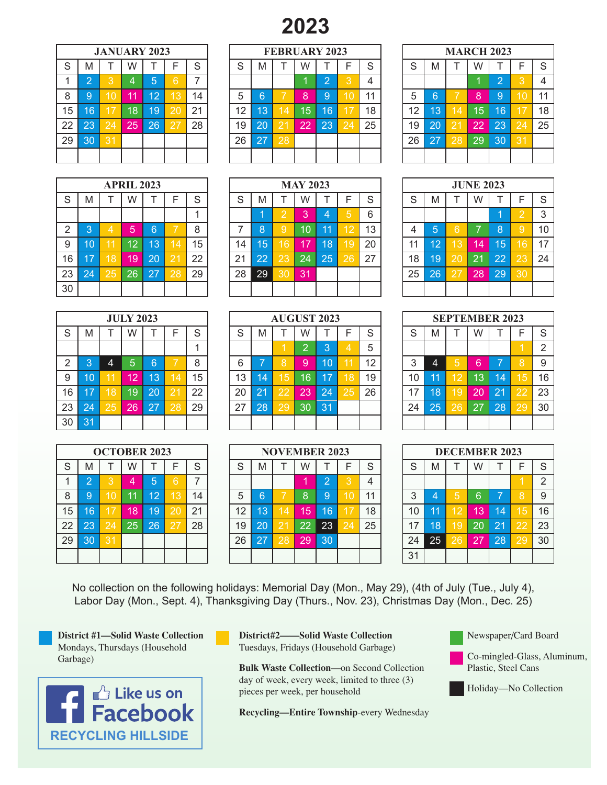## **2023**

|    | <b>JANUARY 2023</b> |                 |    |                |                 |    |  |  |  |  |  |  |  |  |
|----|---------------------|-----------------|----|----------------|-----------------|----|--|--|--|--|--|--|--|--|
| S  | M                   |                 | W  |                | F               | S  |  |  |  |  |  |  |  |  |
|    | $\overline{2}$      | 3               | 4  | $\overline{5}$ | 6               |    |  |  |  |  |  |  |  |  |
| 8  | 9                   | 10              | 11 | 12             | $1\overline{3}$ | 14 |  |  |  |  |  |  |  |  |
| 15 | 16                  | 17              | 18 | 19             | 20              | 21 |  |  |  |  |  |  |  |  |
| 22 | 23                  | $\overline{2}4$ | 25 | 26             | 27              | 28 |  |  |  |  |  |  |  |  |
| 29 | 30                  | 31              |    |                |                 |    |  |  |  |  |  |  |  |  |
|    |                     |                 |    |                |                 |    |  |  |  |  |  |  |  |  |

| <b>APRIL 2023</b> |    |                |    |    |    |    |  |  |  |  |  |  |  |
|-------------------|----|----------------|----|----|----|----|--|--|--|--|--|--|--|
| $\mathsf S$       | M  | T              | W  |    | F  | S  |  |  |  |  |  |  |  |
|                   |    |                |    |    |    |    |  |  |  |  |  |  |  |
| $\overline{2}$    | 3  | $\overline{4}$ | 5  | 6  |    | 8  |  |  |  |  |  |  |  |
| 9                 | 10 | 11             | 12 | 13 | 14 | 15 |  |  |  |  |  |  |  |
| 16                | 17 | 18             | 19 | 20 | 21 | 22 |  |  |  |  |  |  |  |
| 23                | 24 | 25             | 26 | 27 | 28 | 29 |  |  |  |  |  |  |  |
| 30                |    |                |    |    |    |    |  |  |  |  |  |  |  |

| <b>JULY 2023</b> |    |    |    |    |    |    |  |  |  |  |  |  |  |
|------------------|----|----|----|----|----|----|--|--|--|--|--|--|--|
| S                | M  |    | W  |    | F  | S  |  |  |  |  |  |  |  |
|                  |    |    |    |    |    |    |  |  |  |  |  |  |  |
| $\overline{2}$   | 3  | 4  | 5  | 6  |    | 8  |  |  |  |  |  |  |  |
| 9                | 10 | 11 | 12 | 13 | 14 | 15 |  |  |  |  |  |  |  |
| 16               | 17 | 18 | 19 | 20 | 21 | 22 |  |  |  |  |  |  |  |
| 23               | 24 | 25 | 26 | 27 | 28 | 29 |  |  |  |  |  |  |  |
| 30               | 31 |    |    |    |    |    |  |  |  |  |  |  |  |

|    |                |    | <b>OCTOBER 2023</b> |    |    |    |
|----|----------------|----|---------------------|----|----|----|
| S  | M              |    | W                   |    | F  | S  |
|    | $\overline{2}$ | 3  | 4                   | 5  | 6  | 7  |
| 8  | 9              | 10 | 11                  | 12 | 13 | 14 |
| 15 | 16             | 17 | 18                  | 19 | 20 | 21 |
| 22 | 23             | 24 | 25                  | 26 | 27 | 28 |
| 29 | 30             | 31 |                     |    |    |    |
|    |                |    |                     |    |    |    |

|    |    |    | <b>JANUARY 2023</b> |    |           |    |    |    |                | <b>FEBRUARY 2023</b> |    |    |    |        |    |             |    | <b>MARCH 2023</b> |     |    |
|----|----|----|---------------------|----|-----------|----|----|----|----------------|----------------------|----|----|----|--------|----|-------------|----|-------------------|-----|----|
| S  | M  |    | W                   |    |           | S  | ົ  | M  |                | W                    |    |    | G  | ິ<br>O | M  |             | W  |                   | ⊏   | S  |
|    | ⌒  |    | 4                   | 5  | ิค        | ⇁  |    |    |                |                      | റ  | Q  |    |        |    |             |    | $\Omega$          | 3   | 4  |
| 8  | 9  |    | 11                  | 12 | 3         | 14 | 5  | 6  |                | 8                    | I9 | 0  | 11 | 5      | 6  |             | 8  | 9                 |     | 11 |
| 15 | 16 | 7  | 18                  | 19 | <b>20</b> | 21 | 12 | 13 | $\overline{4}$ | 15                   | 16 |    | 18 | 12     | 13 |             | 15 | 16                |     | 18 |
| 22 | 23 | 24 | 25                  | 26 | 27        | 28 | 19 | 20 | 21             | 22                   | 23 | 24 | 25 | 19     | 20 | $2^{\circ}$ | 22 | 23                | 24  | 25 |
| 29 | 30 | 31 |                     |    |           |    | 26 | 27 | <b>28</b>      |                      |    |    |    | 26     | 27 | 28          | 29 | 30                | ι31 |    |
|    |    |    |                     |    |           |    |    |    |                |                      |    |    |    |        |    |             |    |                   |     |    |

| M         |    | W  |    |                   | S  | S  | M  |    | W  |    |                 | S  | S  | M              |    | W  |                 | F                | S  |
|-----------|----|----|----|-------------------|----|----|----|----|----|----|-----------------|----|----|----------------|----|----|-----------------|------------------|----|
|           |    |    |    |                   |    |    |    | っ  | Ι3 | 4  | 5               | 6  |    |                |    |    |                 | 2                | 3  |
| 3         | 4  | 5  | 6. |                   | 8  |    | 8  | 9  | 10 | 11 | 12              | 13 | 4  | $\overline{5}$ | 6  | ⇁  | 8               | 9                | 10 |
| 10        |    | 12 | 13 | ۲Α                | 15 | 14 | 15 | 16 |    | 18 | و ا             | 20 | 11 | $12^{\circ}$   | 3  | 14 | 15              |                  | 17 |
| <b>A7</b> | 18 | 19 | 20 |                   | 22 | 21 | 22 | 23 | 24 | 25 | 26              | 27 | 18 | 19             | 20 | 21 | $\overline{2}2$ | 23               | 24 |
| 24        | 25 | 26 | 27 | 28                | 29 | 28 | 29 | 30 | 31 |    |                 |    | 25 | 26             | 27 | 28 | 29              | 30               |    |
|           |    |    |    |                   |    |    |    |    |    |    |                 |    |    |                |    |    |                 |                  |    |
|           |    |    |    | <b>APRIL 2023</b> |    |    |    |    |    |    | <b>MAY 2023</b> |    |    |                |    |    |                 | <b>JUNE 2023</b> |    |

|    |           |    | <b>JULY 2023</b> |                 |    |    |    |        |     | <b>AUGUST 2023</b> |      |    |    |        |    |           |    | <b>SEPTEMBER 2023</b> |           |    |
|----|-----------|----|------------------|-----------------|----|----|----|--------|-----|--------------------|------|----|----|--------|----|-----------|----|-----------------------|-----------|----|
| S  | M         |    | W                |                 |    | S  | ິ  | M      |     | W                  |      |    | c  | c<br>C | M  |           | W  |                       | F         | S  |
|    |           |    |                  |                 |    |    |    |        |     |                    | o    |    | 5  |        |    |           |    |                       |           | 2  |
| 2  |           | 4  | 5                | 6               |    | 8  | 6  | ⊏      | 8   | g                  | l 10 | 11 | 12 | 3      | 4  | 5         | 6  | =                     | 8         | 9  |
| 9  | 10        |    | 12               | $\overline{13}$ |    | 15 | 13 | 4<br>м | 15' | 16                 | 17   | 18 | 19 | 10     | 11 | 12        | 13 | 14                    |           | 16 |
| 16 | <b>A7</b> | 18 | 19               | 20              |    | 22 | 20 | 21     | 22  | $23^{\circ}$       | 24   | 25 | 26 | 17     | 18 |           | 20 | 21                    | 22        | 23 |
| 23 | 24        | 25 | 26               | 27              | 28 | 29 | 27 | 28     | 29  | 30                 | 31   |    |    | 24     | 25 | <b>26</b> | 27 | 28                    | <b>29</b> | 30 |
| 30 | 31        |    |                  |                 |    |    |    |        |     |                    |      |    |    |        |    |           |    |                       |           |    |

|    |    | <b>OCTOBER 2023</b> |    |    |     |    |    |    |                | <b>NOVEMBER 2023</b> |            |   |        |        |    |    |    | <b>DECEMBER 2023</b> |           |    |
|----|----|---------------------|----|----|-----|----|----|----|----------------|----------------------|------------|---|--------|--------|----|----|----|----------------------|-----------|----|
| S  | M  |                     | W  |    |     | S  | c  | M  |                | W                    |            |   | c<br>O | c      | M  |    | W  |                      | F         | -S |
|    | റ  |                     | 4  | 5  |     | ⇁  |    |    |                |                      | $\sqrt{2}$ | ာ |        |        |    |    |    |                      |           | 2  |
| 8  | 9  |                     | 11 | 12 | 3   | 14 | 5  | 6  |                |                      | 9          |   |        | $\sim$ |    | 5  | 6  |                      | 8         | -9 |
| 15 | 16 |                     | 18 | 19 | l2C | 21 | 12 | 3  | $\overline{4}$ | 15/                  | 16         |   | 18     | 10     | 11 | 2  | 13 | 14                   |           | 16 |
| 22 | 23 | 24                  | 25 | 26 | o   | 28 | 19 | 20 | 2 <sup>1</sup> | 22'                  | 23         |   | 25     | 17     | 18 |    | 20 | 2 <sub>1</sub>       | 22        | 23 |
| 29 | 30 |                     |    |    |     |    | 26 | 27 | 28             | 29                   | 30         |   |        | 24     | 25 | 26 | 27 | 28                   | <b>29</b> | 30 |
|    |    |                     |    |    |     |    |    |    |                |                      |            |   |        | 31     |    |    |    |                      |           |    |

|    | <b>MARCH 2023</b> |    |    |                |    |    |  |  |  |  |  |  |  |  |
|----|-------------------|----|----|----------------|----|----|--|--|--|--|--|--|--|--|
| S  | M                 |    | W  |                | F  | S  |  |  |  |  |  |  |  |  |
|    |                   |    |    | $\overline{2}$ | 3  | 4  |  |  |  |  |  |  |  |  |
| 5  | 6                 |    | 8  | 9              | 10 | 11 |  |  |  |  |  |  |  |  |
| 12 | 13                | 14 | 15 | 16             | 17 | 18 |  |  |  |  |  |  |  |  |
| 19 | 20                | 21 | 22 | 23             | 24 | 25 |  |  |  |  |  |  |  |  |
| 26 | 27                | 28 | 29 | 30             | 31 |    |  |  |  |  |  |  |  |  |
|    |                   |    |    |                |    |    |  |  |  |  |  |  |  |  |

| <b>JUNE 2023</b> |    |    |    |    |                |             |  |  |  |  |  |  |  |
|------------------|----|----|----|----|----------------|-------------|--|--|--|--|--|--|--|
| $\overline{S}$   | M  | T  | W  |    | F              | $\mathbf S$ |  |  |  |  |  |  |  |
|                  |    |    |    |    | $\overline{2}$ | 3           |  |  |  |  |  |  |  |
| 4                | 5  | 6  | 7  | 8  | 9              | 10          |  |  |  |  |  |  |  |
| 11               | 12 | 13 | 14 | 15 | 16             | 17          |  |  |  |  |  |  |  |
| 18               | 19 | 20 | 21 | 22 | 23             | 24          |  |  |  |  |  |  |  |
| 25               | 26 | 27 | 28 | 29 | 30             |             |  |  |  |  |  |  |  |
|                  |    |    |    |    |                |             |  |  |  |  |  |  |  |

| <b>SEPTEMBER 2023</b> |    |    |    |    |    |    |  |  |  |
|-----------------------|----|----|----|----|----|----|--|--|--|
| S                     | M  |    | W  |    | F  | S  |  |  |  |
|                       |    |    |    |    |    | 2  |  |  |  |
| 3                     | 4  | 5  | 6  |    | 8  | 9  |  |  |  |
| 10                    | 11 | 12 | 13 | 14 | 15 | 16 |  |  |  |
| 17                    | 18 | 19 | 20 | 21 | 22 | 23 |  |  |  |
| 24                    | 25 | 26 | 27 | 28 | 29 | 30 |  |  |  |
|                       |    |    |    |    |    |    |  |  |  |

| <b>DECEMBER 2023</b> |    |    |    |    |    |                |  |  |  |
|----------------------|----|----|----|----|----|----------------|--|--|--|
| $\mathbf S$          | M  | T  | W  |    | F  | S              |  |  |  |
|                      |    |    |    |    |    | $\overline{2}$ |  |  |  |
| 3                    | 4  | 5  | 6  | 7  | 8  | 9              |  |  |  |
| 10                   | 11 | 12 | 13 | 14 | 15 | 16             |  |  |  |
| 17                   | 18 | 19 | 20 | 21 | 22 | 23             |  |  |  |
| 24                   | 25 | 26 | 27 | 28 | 29 | 30             |  |  |  |
| 31                   |    |    |    |    |    |                |  |  |  |

No collection on the following holidays: Memorial Day (Mon., May 29), (4th of July (Tue., July 4), Labor Day (Mon., Sept. 4), Thanksgiving Day (Thurs., Nov. 23), Christmas Day (Mon., Dec. 25)

**District #1—Solid Waste Collection**  Mondays, Thursdays (Household Garbage)



**District#2——Solid Waste Collection**  Tuesdays, Fridays (Household Garbage)

**Bulk Waste Collection**—on Second Collection day of week, every week, limited to three (3) pieces per week, per household

**Recycling—Entire Township**-every Wednesday